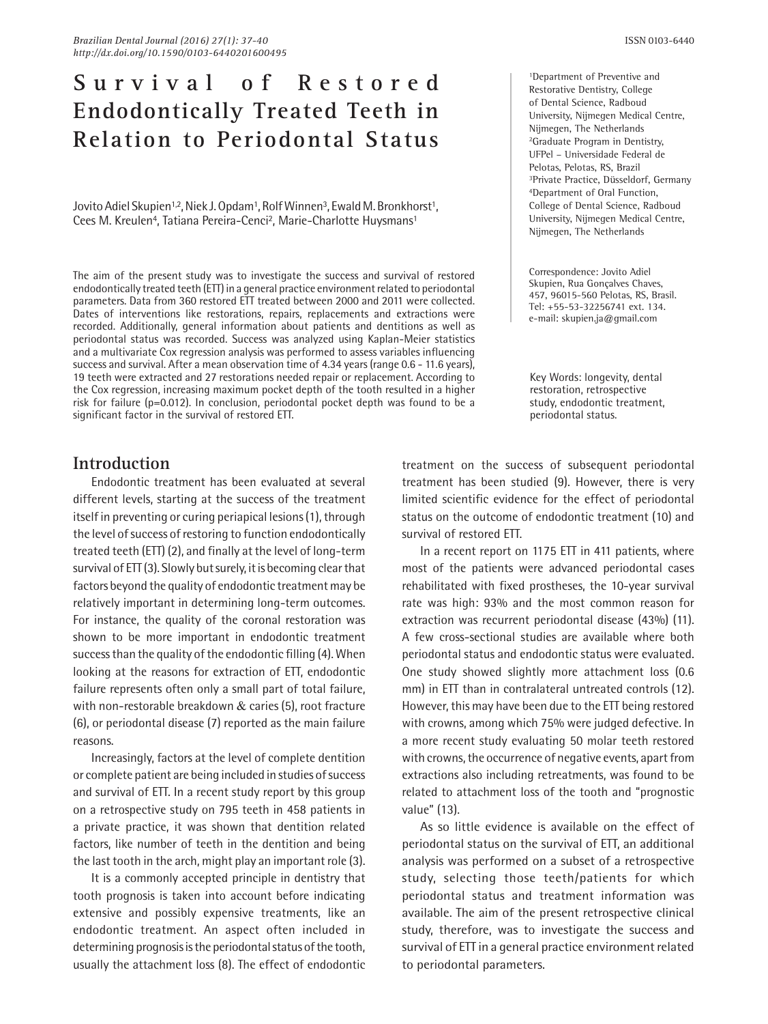# **S u r v i v a l o f R e s t o r e d Endodontically Treated Teeth in Relation to Periodontal Status**

Jovito Adiel Skupien<sup>1,2</sup>, Niek J. Opdam<sup>1</sup>, Rolf Winnen<sup>3</sup>, Ewald M. Bronkhorst<sup>1</sup>, Cees M. Kreulen<sup>4</sup>, Tatiana Pereira-Cenci<sup>2</sup>, Marie-Charlotte Huysmans<sup>1</sup>

The aim of the present study was to investigate the success and survival of restored endodontically treated teeth (ETT) in a general practice environment related to periodontal parameters. Data from 360 restored ETT treated between 2000 and 2011 were collected. Dates of interventions like restorations, repairs, replacements and extractions were recorded. Additionally, general information about patients and dentitions as well as periodontal status was recorded. Success was analyzed using Kaplan-Meier statistics and a multivariate Cox regression analysis was performed to assess variables influencing success and survival. After a mean observation time of 4.34 years (range 0.6 - 11.6 years), 19 teeth were extracted and 27 restorations needed repair or replacement. According to the Cox regression, increasing maximum pocket depth of the tooth resulted in a higher risk for failure ( $p=0.012$ ). In conclusion, periodontal pocket depth was found to be a significant factor in the survival of restored ETT.

## **Introduction**

Endodontic treatment has been evaluated at several different levels, starting at the success of the treatment itself in preventing or curing periapical lesions (1), through the level of success of restoring to function endodontically treated teeth (ETT) (2), and finally at the level of long-term survival of ETT (3). Slowly but surely, it is becoming clear that factors beyond the quality of endodontic treatment may be relatively important in determining long-term outcomes. For instance, the quality of the coronal restoration was shown to be more important in endodontic treatment success than the quality of the endodontic filling (4). When looking at the reasons for extraction of ETT, endodontic failure represents often only a small part of total failure, with non-restorable breakdown & caries (5), root fracture (6), or periodontal disease (7) reported as the main failure reasons.

Increasingly, factors at the level of complete dentition or complete patient are being included in studies of success and survival of ETT. In a recent study report by this group on a retrospective study on 795 teeth in 458 patients in a private practice, it was shown that dentition related factors, like number of teeth in the dentition and being the last tooth in the arch, might play an important role (3).

It is a commonly accepted principle in dentistry that tooth prognosis is taken into account before indicating extensive and possibly expensive treatments, like an endodontic treatment. An aspect often included in determining prognosis is the periodontal status of the tooth, usually the attachment loss (8). The effect of endodontic

1Department of Preventive and Restorative Dentistry, College of Dental Science, Radboud University, Nijmegen Medical Centre, Nijmegen, The Netherlands 2Graduate Program in Dentistry, UFPel – Universidade Federal de Pelotas, Pelotas, RS, Brazil 3Private Practice, Düsseldorf, Germany 4Department of Oral Function, College of Dental Science, Radboud University, Nijmegen Medical Centre, Nijmegen, The Netherlands

Correspondence: Jovito Adiel Skupien, Rua Gonçalves Chaves, 457, 96015-560 Pelotas, RS, Brasil. Tel: +55-53-32256741 ext. 134. e-mail: skupien.ja@gmail.com

Key Words: longevity, dental restoration, retrospective study, endodontic treatment, periodontal status.

treatment on the success of subsequent periodontal treatment has been studied (9). However, there is very limited scientific evidence for the effect of periodontal status on the outcome of endodontic treatment (10) and survival of restored ETT.

In a recent report on 1175 ETT in 411 patients, where most of the patients were advanced periodontal cases rehabilitated with fixed prostheses, the 10-year survival rate was high: 93% and the most common reason for extraction was recurrent periodontal disease (43%) (11). A few cross-sectional studies are available where both periodontal status and endodontic status were evaluated. One study showed slightly more attachment loss (0.6 mm) in ETT than in contralateral untreated controls (12). However, this may have been due to the ETT being restored with crowns, among which 75% were judged defective. In a more recent study evaluating 50 molar teeth restored with crowns, the occurrence of negative events, apart from extractions also including retreatments, was found to be related to attachment loss of the tooth and "prognostic value" (13).

As so little evidence is available on the effect of periodontal status on the survival of ETT, an additional analysis was performed on a subset of a retrospective study, selecting those teeth/patients for which periodontal status and treatment information was available. The aim of the present retrospective clinical study, therefore, was to investigate the success and survival of ETT in a general practice environment related to periodontal parameters.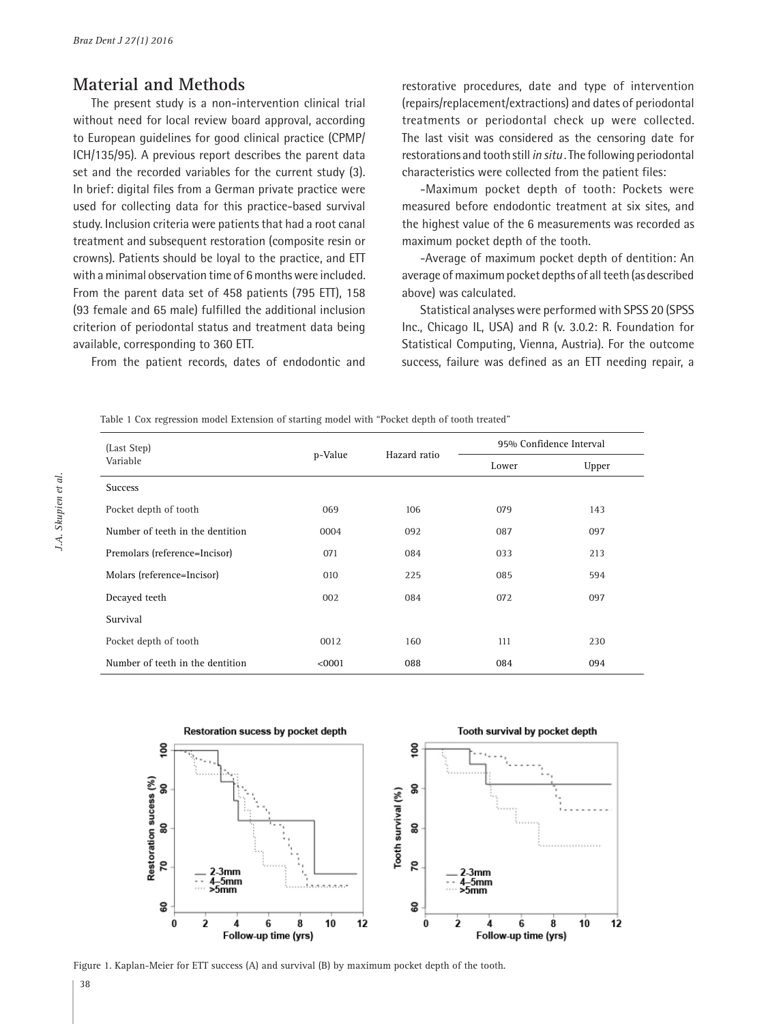### **Material and Methods**

The present study is a non-intervention clinical trial without need for local review board approval, according to European guidelines for good clinical practice (CPMP/ ICH/135/95). A previous report describes the parent data set and the recorded variables for the current study (3). In brief: digital files from a German private practice were used for collecting data for this practice-based survival study. Inclusion criteria were patients that had a root canal treatment and subsequent restoration (composite resin or crowns). Patients should be loyal to the practice, and ETT with a minimal observation time of 6 months were included. From the parent data set of 458 patients (795 ETT), 158 (93 female and 65 male) fulfilled the additional inclusion criterion of periodontal status and treatment data being available, corresponding to 360 ETT.

From the patient records, dates of endodontic and

restorative procedures, date and type of intervention (repairs/replacement/extractions) and dates of periodontal treatments or periodontal check up were collected. The last visit was considered as the censoring date for restorations and tooth still *in situ* . The following periodontal characteristics were collected from the patient files:

-Maximum pocket depth of tooth: Pockets were measured before endodontic treatment at six sites, and the highest value of the 6 measurements was recorded as maximum pocket depth of the tooth.

-Average of maximum pocket depth of dentition: An average of maximum pocket depths of all teeth (as described above) was calculated.

Statistical analyses were performed with SPSS 20 (SPSS Inc., Chicago IL, USA) and R (v. 3.0.2: R. Foundation for Statistical Computing, Vienna, Austria). For the outcome success, failure was defined as an ETT needing repair, a

| (Last Step)<br>Variable          | p-Value | Hazard ratio | 95% Confidence Interval |       |
|----------------------------------|---------|--------------|-------------------------|-------|
|                                  |         |              | Lower                   | Upper |
| <b>Success</b>                   |         |              |                         |       |
| Pocket depth of tooth            | 069     | 106          | 079                     | 143   |
| Number of teeth in the dentition | 0004    | 092          | 087                     | 097   |
| Premolars (reference=Incisor)    | 071     | 084          | 033                     | 213   |
| Molars (reference=Incisor)       | 010     | 225          | 085                     | 594   |
| Decayed teeth                    | 002     | 084          | 072                     | 097   |
| Survival                         |         |              |                         |       |
| Pocket depth of tooth            | 0012    | 160          | 111                     | 230   |
| Number of teeth in the dentition | < 0001  | 088          | 084                     | 094   |



Figure 1. Kaplan-Meier for ETT success (A) and survival (B) by maximum pocket depth of the tooth.

38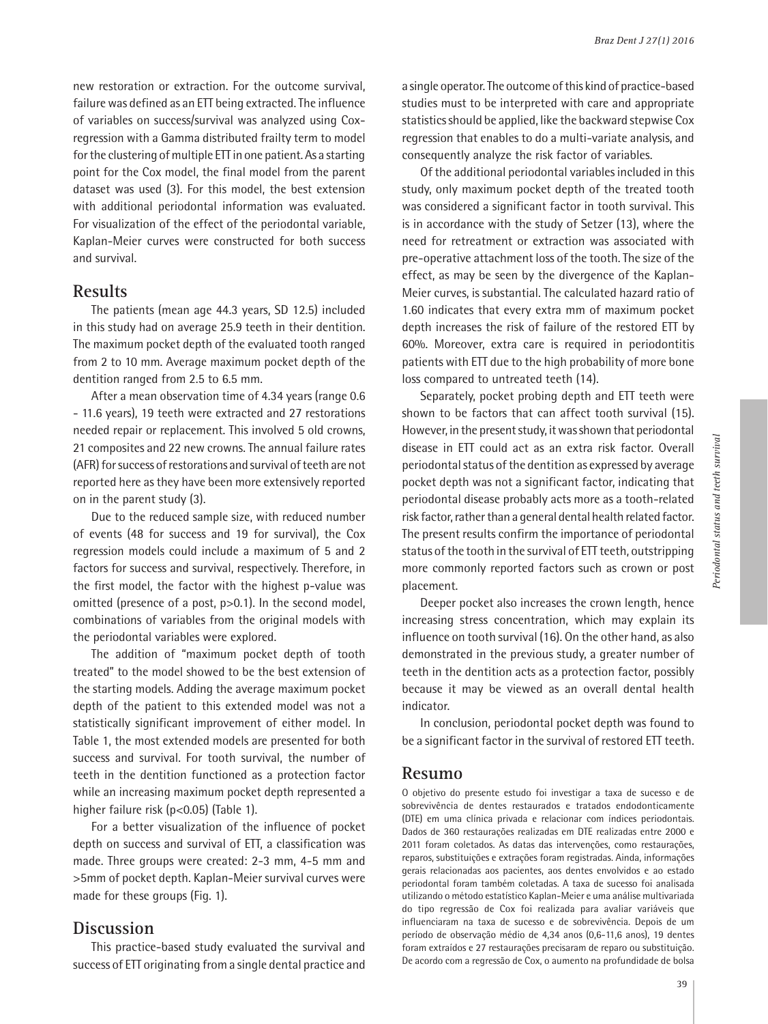new restoration or extraction. For the outcome survival, failure was defined as an ETT being extracted. The influence of variables on success/survival was analyzed using Coxregression with a Gamma distributed frailty term to model for the clustering of multiple ETT in one patient. As a starting point for the Cox model, the final model from the parent dataset was used (3). For this model, the best extension with additional periodontal information was evaluated. For visualization of the effect of the periodontal variable, Kaplan-Meier curves were constructed for both success and survival.

#### **Results**

The patients (mean age 44.3 years, SD 12.5) included in this study had on average 25.9 teeth in their dentition. The maximum pocket depth of the evaluated tooth ranged from 2 to 10 mm. Average maximum pocket depth of the dentition ranged from 2.5 to 6.5 mm.

After a mean observation time of 4.34 years (range 0.6 - 11.6 years), 19 teeth were extracted and 27 restorations needed repair or replacement. This involved 5 old crowns, 21 composites and 22 new crowns. The annual failure rates (AFR) for success of restorations and survival of teeth are not reported here as they have been more extensively reported on in the parent study (3).

Due to the reduced sample size, with reduced number of events (48 for success and 19 for survival), the Cox regression models could include a maximum of 5 and 2 factors for success and survival, respectively. Therefore, in the first model, the factor with the highest p-value was omitted (presence of a post, p>0.1). In the second model, combinations of variables from the original models with the periodontal variables were explored.

The addition of "maximum pocket depth of tooth treated" to the model showed to be the best extension of the starting models. Adding the average maximum pocket depth of the patient to this extended model was not a statistically significant improvement of either model. In Table 1, the most extended models are presented for both success and survival. For tooth survival, the number of teeth in the dentition functioned as a protection factor while an increasing maximum pocket depth represented a higher failure risk (p<0.05) (Table 1).

For a better visualization of the influence of pocket depth on success and survival of ETT, a classification was made. Three groups were created: 2-3 mm, 4-5 mm and >5mm of pocket depth. Kaplan-Meier survival curves were made for these groups (Fig. 1).

### **Discussion**

This practice-based study evaluated the survival and success of ETT originating from a single dental practice and a single operator. The outcome of this kind of practice-based studies must to be interpreted with care and appropriate statistics should be applied, like the backward stepwise Cox regression that enables to do a multi-variate analysis, and consequently analyze the risk factor of variables.

Of the additional periodontal variables included in this study, only maximum pocket depth of the treated tooth was considered a significant factor in tooth survival. This is in accordance with the study of Setzer (13), where the need for retreatment or extraction was associated with pre-operative attachment loss of the tooth. The size of the effect, as may be seen by the divergence of the Kaplan-Meier curves, is substantial. The calculated hazard ratio of 1.60 indicates that every extra mm of maximum pocket depth increases the risk of failure of the restored ETT by 60%. Moreover, extra care is required in periodontitis patients with ETT due to the high probability of more bone loss compared to untreated teeth (14).

Separately, pocket probing depth and ETT teeth were shown to be factors that can affect tooth survival (15). However, in the present study, it was shown that periodontal disease in ETT could act as an extra risk factor. Overall periodontal status of the dentition as expressed by average pocket depth was not a significant factor, indicating that periodontal disease probably acts more as a tooth-related risk factor, rather than a general dental health related factor. The present results confirm the importance of periodontal status of the tooth in the survival of ETT teeth, outstripping more commonly reported factors such as crown or post placement.

Deeper pocket also increases the crown length, hence increasing stress concentration, which may explain its influence on tooth survival (16). On the other hand, as also demonstrated in the previous study, a greater number of teeth in the dentition acts as a protection factor, possibly because it may be viewed as an overall dental health indicator.

In conclusion, periodontal pocket depth was found to be a significant factor in the survival of restored ETT teeth.

#### **Resumo**

O objetivo do presente estudo foi investigar a taxa de sucesso e de sobrevivência de dentes restaurados e tratados endodonticamente (DTE) em uma clínica privada e relacionar com índices periodontais. Dados de 360 restaurações realizadas em DTE realizadas entre 2000 e 2011 foram coletados. As datas das intervenções, como restaurações, reparos, substituições e extrações foram registradas. Ainda, informações gerais relacionadas aos pacientes, aos dentes envolvidos e ao estado periodontal foram também coletadas. A taxa de sucesso foi analisada utilizando o método estatístico Kaplan-Meier e uma análise multivariada do tipo regressão de Cox foi realizada para avaliar variáveis que influenciaram na taxa de sucesso e de sobrevivência. Depois de um período de observação médio de 4,34 anos (0,6-11,6 anos), 19 dentes foram extraídos e 27 restaurações precisaram de reparo ou substituição. De acordo com a regressão de Cox, o aumento na profundidade de bolsa